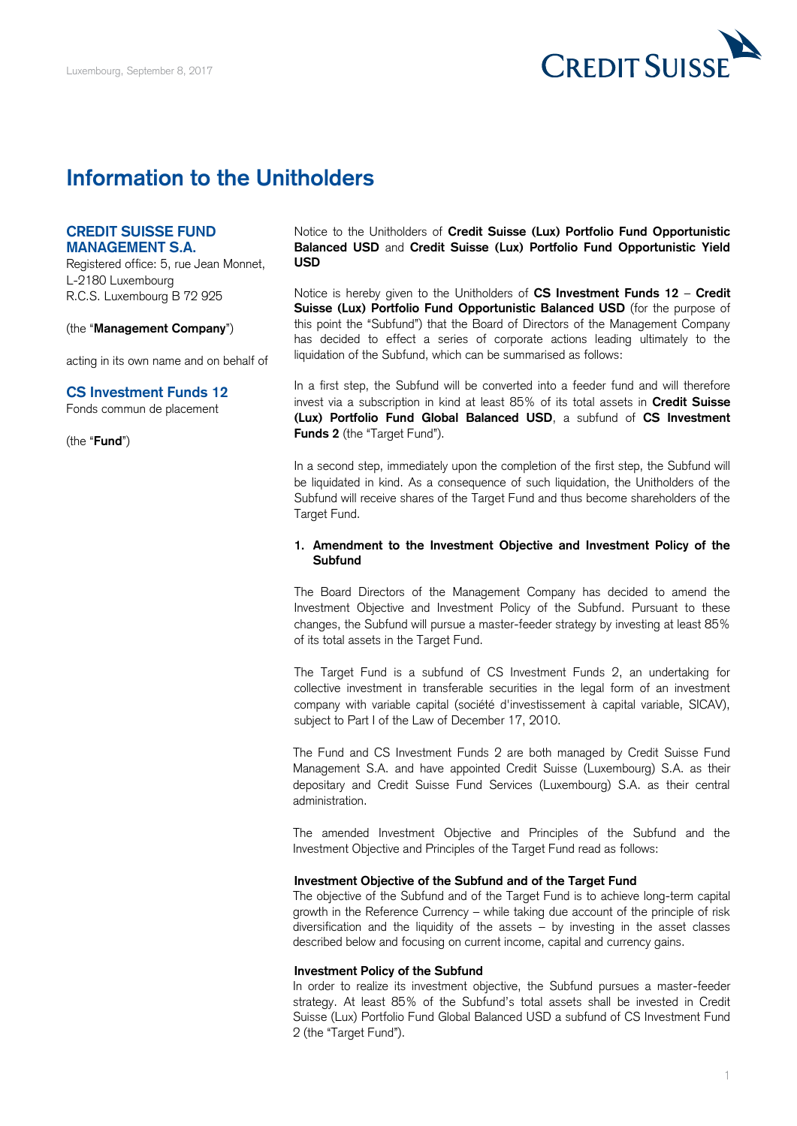

# **Information to the Unitholders**

# **CREDIT SUISSE FUND MANAGEMENT S.A.**

Registered office: 5, rue Jean Monnet, L-2180 Luxembourg R.C.S. Luxembourg B 72 925

(the "**Management Company**")

acting in its own name and on behalf of

## **CS Investment Funds 12**

Fonds commun de placement

(the "**Fund**")

 Notice to the Unitholders of **Credit Suisse (Lux) Portfolio Fund Opportunistic Balanced USD** and **Credit Suisse (Lux) Portfolio Fund Opportunistic Yield USD** 

 Notice is hereby given to the Unitholders of **CS Investment Funds 12** – **Credit Suisse (Lux) Portfolio Fund Opportunistic Balanced USD** (for the purpose of this point the "Subfund") that the Board of Directors of the Management Company has decided to effect a series of corporate actions leading ultimately to the liquidation of the Subfund, which can be summarised as follows:

 In a first step, the Subfund will be converted into a feeder fund and will therefore invest via a subscription in kind at least 85% of its total assets in **Credit Suisse (Lux) Portfolio Fund Global Balanced USD**, a subfund of **CS Investment Funds 2** (the "Target Fund").

 In a second step, immediately upon the completion of the first step, the Subfund will be liquidated in kind. As a consequence of such liquidation, the Unitholders of the Subfund will receive shares of the Target Fund and thus become shareholders of the Target Fund.

## **1. Amendment to the Investment Objective and Investment Policy of the Subfund**

 The Board Directors of the Management Company has decided to amend the Investment Objective and Investment Policy of the Subfund. Pursuant to these changes, the Subfund will pursue a master-feeder strategy by investing at least 85% of its total assets in the Target Fund.

 The Target Fund is a subfund of CS Investment Funds 2, an undertaking for collective investment in transferable securities in the legal form of an investment company with variable capital (société d'investissement à capital variable, SICAV), subject to Part I of the Law of December 17, 2010.

 The Fund and CS Investment Funds 2 are both managed by Credit Suisse Fund Management S.A. and have appointed Credit Suisse (Luxembourg) S.A. as their depositary and Credit Suisse Fund Services (Luxembourg) S.A. as their central administration.

 The amended Investment Objective and Principles of the Subfund and the Investment Objective and Principles of the Target Fund read as follows:

## **Investment Objective of the Subfund and of the Target Fund**

 The objective of the Subfund and of the Target Fund is to achieve long-term capital growth in the Reference Currency – while taking due account of the principle of risk diversification and the liquidity of the assets – by investing in the asset classes described below and focusing on current income, capital and currency gains.

### **Investment Policy of the Subfund**

 In order to realize its investment objective, the Subfund pursues a master-feeder strategy. At least 85% of the Subfund's total assets shall be invested in Credit Suisse (Lux) Portfolio Fund Global Balanced USD a subfund of CS Investment Fund 2 (the "Target Fund").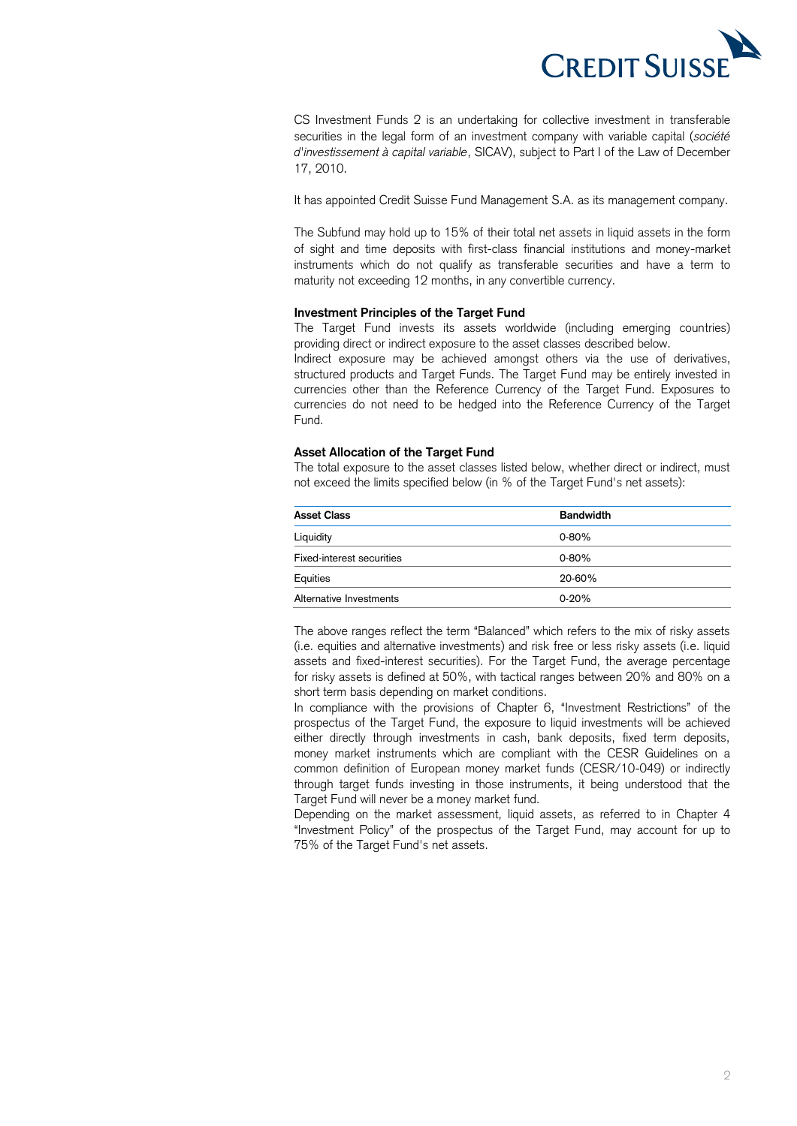

 CS Investment Funds 2 is an undertaking for collective investment in transferable securities in the legal form of an investment company with variable capital (*société d'investissement à capital variable*, SICAV), subject to Part I of the Law of December 17, 2010.

It has appointed Credit Suisse Fund Management S.A. as its management company.

 The Subfund may hold up to 15% of their total net assets in liquid assets in the form of sight and time deposits with first-class financial institutions and money-market instruments which do not qualify as transferable securities and have a term to maturity not exceeding 12 months, in any convertible currency.

## **Investment Principles of the Target Fund**

 The Target Fund invests its assets worldwide (including emerging countries) providing direct or indirect exposure to the asset classes described below.

 Indirect exposure may be achieved amongst others via the use of derivatives, structured products and Target Funds. The Target Fund may be entirely invested in currencies other than the Reference Currency of the Target Fund. Exposures to currencies do not need to be hedged into the Reference Currency of the Target Fund.

## **Asset Allocation of the Target Fund**

 The total exposure to the asset classes listed below, whether direct or indirect, must not exceed the limits specified below (in % of the Target Fund's net assets):

| <b>Asset Class</b>        | <b>Bandwidth</b> |
|---------------------------|------------------|
| Liquidity                 | $0 - 80%$        |
| Fixed-interest securities | $0 - 80%$        |
| Equities                  | 20-60%           |
| Alternative Investments   | $0 - 20%$        |

 The above ranges reflect the term "Balanced" which refers to the mix of risky assets (i.e. equities and alternative investments) and risk free or less risky assets (i.e. liquid assets and fixed-interest securities). For the Target Fund, the average percentage for risky assets is defined at 50%, with tactical ranges between 20% and 80% on a short term basis depending on market conditions.

 In compliance with the provisions of Chapter 6, "Investment Restrictions" of the prospectus of the Target Fund, the exposure to liquid investments will be achieved either directly through investments in cash, bank deposits, fixed term deposits, money market instruments which are compliant with the CESR Guidelines on a common definition of European money market funds (CESR/10-049) or indirectly through target funds investing in those instruments, it being understood that the Target Fund will never be a money market fund.

 Depending on the market assessment, liquid assets, as referred to in Chapter 4 "Investment Policy" of the prospectus of the Target Fund, may account for up to 75% of the Target Fund's net assets.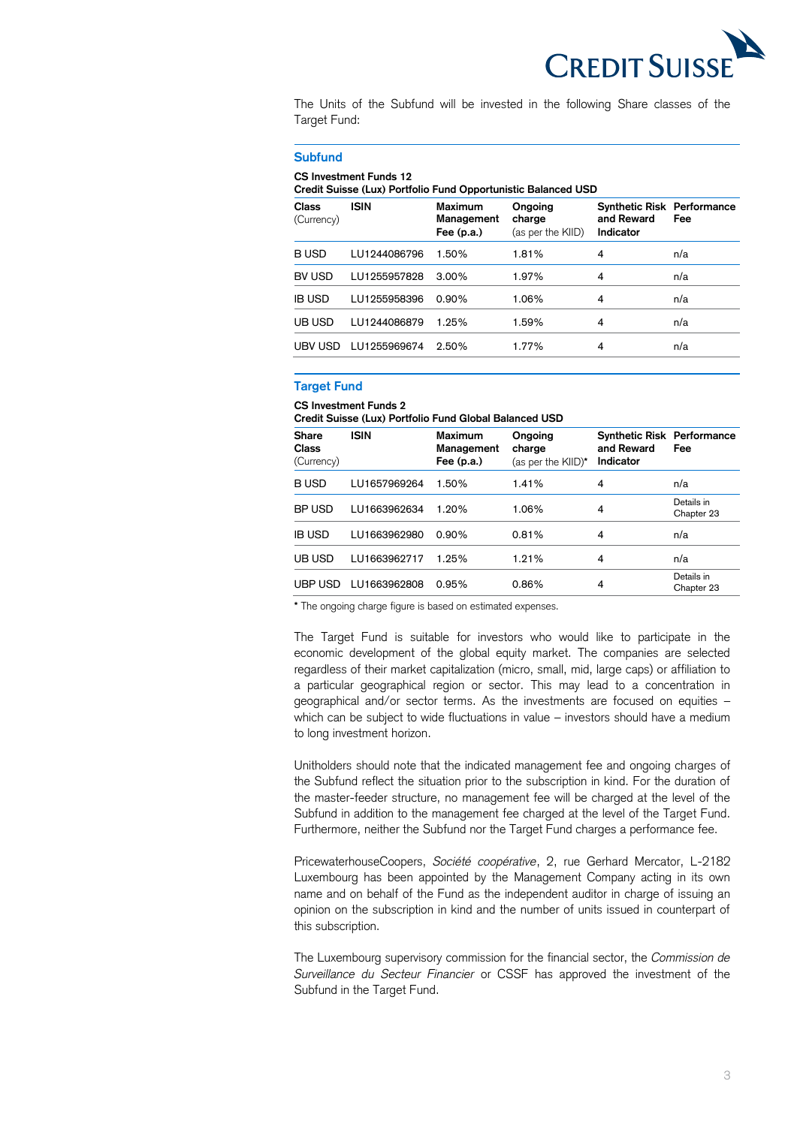

 The Units of the Subfund will be invested in the following Share classes of the Target Fund:

#### **Subfund**

#### **CS Investment Funds 12**

 **Credit Suisse (Lux) Portfolio Fund Opportunistic Balanced USD** 

| <b>Class</b><br>(Currency) | <b>ISIN</b>  | <b>Maximum</b><br>Management<br>Fee $(p.a.)$ | Ongoing<br>charge<br>(as per the KIID) | <b>Synthetic Risk Performance</b><br>and Reward<br>Indicator | Fee |
|----------------------------|--------------|----------------------------------------------|----------------------------------------|--------------------------------------------------------------|-----|
| <b>BUSD</b>                | LU1244086796 | 1.50%                                        | 1.81%                                  | 4                                                            | n/a |
| BV USD                     | LU1255957828 | $3.00\%$                                     | 1.97%                                  | 4                                                            | n/a |
| <b>IB USD</b>              | LU1255958396 | 0.90%                                        | 1.06%                                  | 4                                                            | n/a |
| UB USD                     | LU1244086879 | 1.25%                                        | 1.59%                                  | 4                                                            | n/a |
| UBV USD                    | LU1255969674 | 2.50%                                        | 1.77%                                  | 4                                                            | n/a |
|                            |              |                                              |                                        |                                                              |     |

## **Target Fund**

### **CS Investment Funds 2**

 **Credit Suisse (Lux) Portfolio Fund Global Balanced USD** 

| <b>Share</b><br>Class<br>(Currency) | <b>ISIN</b>  | Maximum<br>Management<br>Fee $(p.a.)$ | Ongoing<br>charge<br>(as per the KIID)* | <b>Synthetic Risk Performance</b><br>and Reward<br>Indicator | Fee                      |
|-------------------------------------|--------------|---------------------------------------|-----------------------------------------|--------------------------------------------------------------|--------------------------|
| <b>BUSD</b>                         | LU1657969264 | 1.50%                                 | 1.41%                                   | 4                                                            | n/a                      |
| BP USD                              | LU1663962634 | 1.20%                                 | 1.06%                                   | 4                                                            | Details in<br>Chapter 23 |
| <b>IB USD</b>                       | LU1663962980 | 0.90%                                 | 0.81%                                   | 4                                                            | n/a                      |
| UB USD                              | LU1663962717 | 1.25%                                 | 1.21%                                   | 4                                                            | n/a                      |
| UBP USD                             | LU1663962808 | 0.95%                                 | 0.86%                                   | 4                                                            | Details in<br>Chapter 23 |

**\*** The ongoing charge figure is based on estimated expenses.

 The Target Fund is suitable for investors who would like to participate in the economic development of the global equity market. The companies are selected regardless of their market capitalization (micro, small, mid, large caps) or affiliation to a particular geographical region or sector. This may lead to a concentration in geographical and/or sector terms. As the investments are focused on equities – which can be subject to wide fluctuations in value – investors should have a medium to long investment horizon.

 Unitholders should note that the indicated management fee and ongoing charges of the Subfund reflect the situation prior to the subscription in kind. For the duration of the master-feeder structure, no management fee will be charged at the level of the Subfund in addition to the management fee charged at the level of the Target Fund. Furthermore, neither the Subfund nor the Target Fund charges a performance fee.

 PricewaterhouseCoopers, *Société coopérative*, 2, rue Gerhard Mercator, L-2182 Luxembourg has been appointed by the Management Company acting in its own name and on behalf of the Fund as the independent auditor in charge of issuing an opinion on the subscription in kind and the number of units issued in counterpart of this subscription.

 The Luxembourg supervisory commission for the financial sector, the *Commission de Surveillance du Secteur Financier* or CSSF has approved the investment of the Subfund in the Target Fund.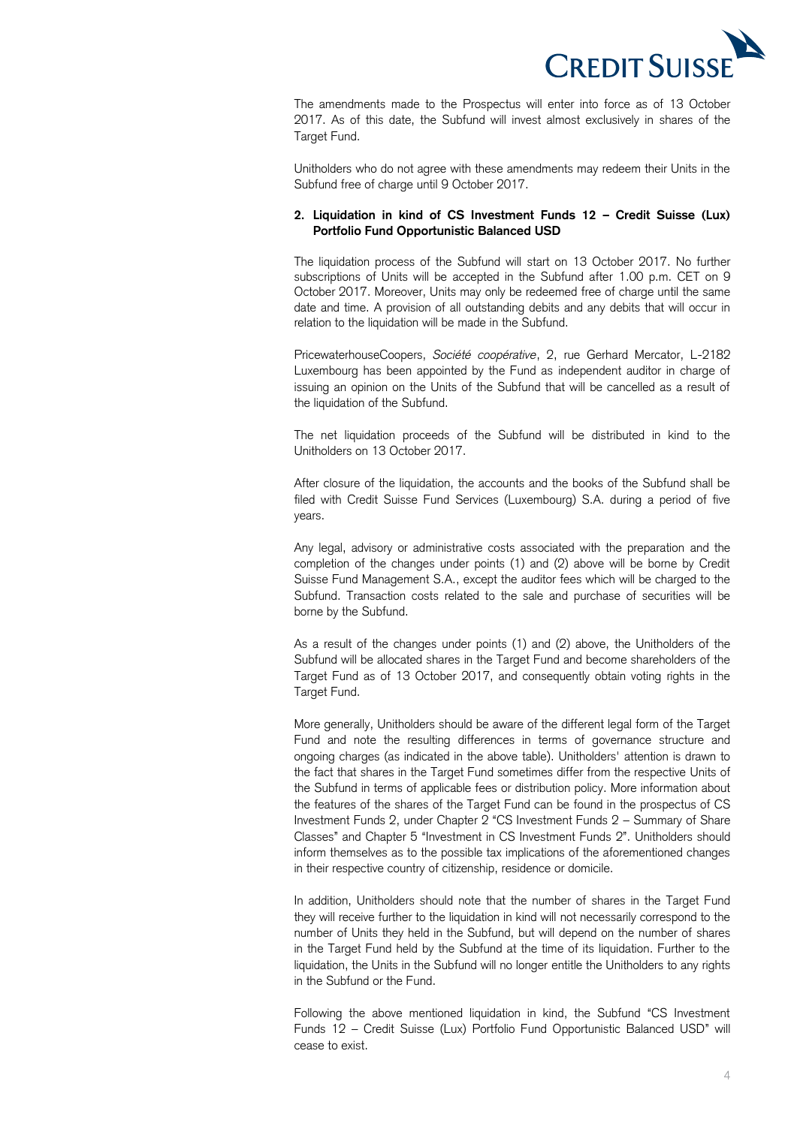

 The amendments made to the Prospectus will enter into force as of 13 October 2017. As of this date, the Subfund will invest almost exclusively in shares of the Target Fund.

 Unitholders who do not agree with these amendments may redeem their Units in the Subfund free of charge until 9 October 2017.

# **2. Liquidation in kind of CS Investment Funds 12 – Credit Suisse (Lux) Portfolio Fund Opportunistic Balanced USD**

 The liquidation process of the Subfund will start on 13 October 2017. No further subscriptions of Units will be accepted in the Subfund after 1.00 p.m. CET on 9 October 2017. Moreover, Units may only be redeemed free of charge until the same date and time. A provision of all outstanding debits and any debits that will occur in relation to the liquidation will be made in the Subfund.

 PricewaterhouseCoopers, *Société coopérative*, 2, rue Gerhard Mercator, L-2182 Luxembourg has been appointed by the Fund as independent auditor in charge of issuing an opinion on the Units of the Subfund that will be cancelled as a result of the liquidation of the Subfund.

 The net liquidation proceeds of the Subfund will be distributed in kind to the Unitholders on 13 October 2017.

 After closure of the liquidation, the accounts and the books of the Subfund shall be filed with Credit Suisse Fund Services (Luxembourg) S.A. during a period of five years.

 Any legal, advisory or administrative costs associated with the preparation and the completion of the changes under points (1) and (2) above will be borne by Credit Suisse Fund Management S.A., except the auditor fees which will be charged to the Subfund. Transaction costs related to the sale and purchase of securities will be borne by the Subfund.

 As a result of the changes under points (1) and (2) above, the Unitholders of the Subfund will be allocated shares in the Target Fund and become shareholders of the Target Fund as of 13 October 2017, and consequently obtain voting rights in the Target Fund.

Target Fund.<br>More generally, Unitholders should be aware of the different legal form of the Target Fund and note the resulting differences in terms of governance structure and ongoing charges (as indicated in the above table). Unitholders' attention is drawn to the fact that shares in the Target Fund sometimes differ from the respective Units of the Subfund in terms of applicable fees or distribution policy. More information about the features of the shares of the Target Fund can be found in the prospectus of CS Investment Funds 2, under Chapter 2 "CS Investment Funds 2 – Summary of Share Classes" and Chapter 5 "Investment in CS Investment Funds 2". Unitholders should inform themselves as to the possible tax implications of the aforementioned changes in their respective country of citizenship, residence or domicile.

 In addition, Unitholders should note that the number of shares in the Target Fund they will receive further to the liquidation in kind will not necessarily correspond to the number of Units they held in the Subfund, but will depend on the number of shares in the Target Fund held by the Subfund at the time of its liquidation. Further to the liquidation, the Units in the Subfund will no longer entitle the Unitholders to any rights in the Subfund or the Fund.

 Following the above mentioned liquidation in kind, the Subfund "CS Investment Funds 12 – Credit Suisse (Lux) Portfolio Fund Opportunistic Balanced USD" will cease to exist.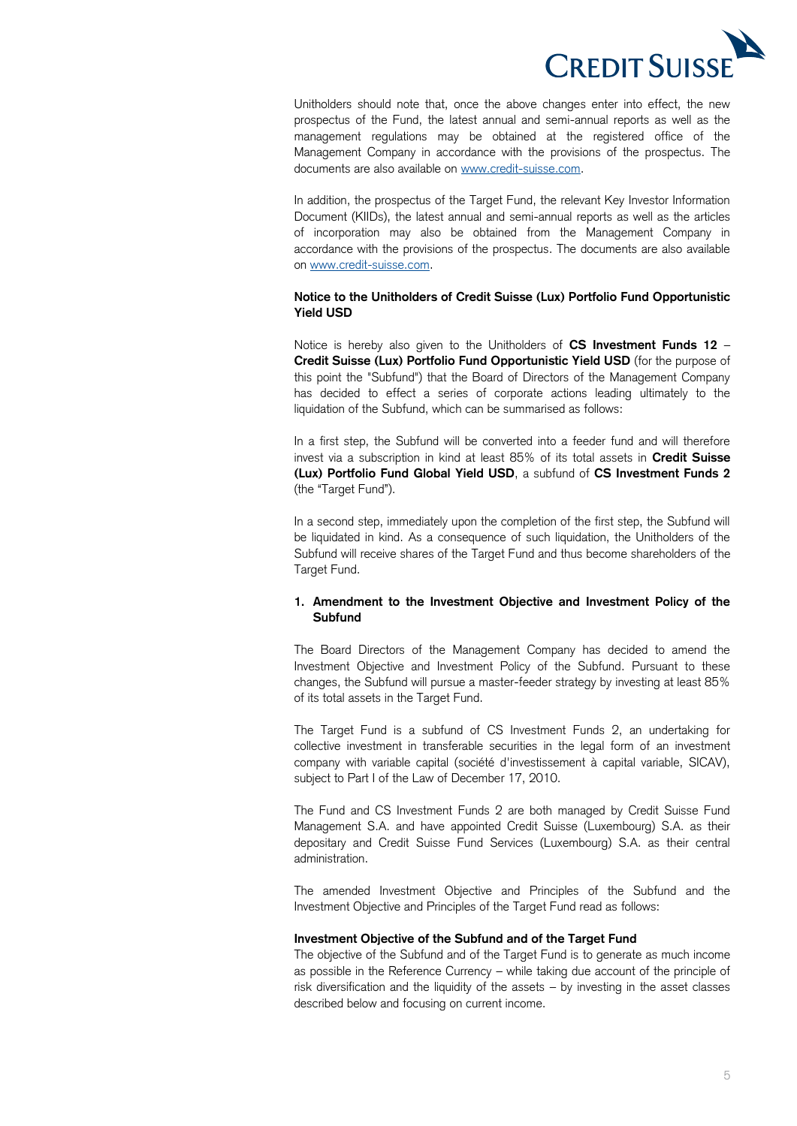

 Unitholders should note that, once the above changes enter into effect, the new prospectus of the Fund, the latest annual and semi-annual reports as well as the management regulations may be obtained at the registered office of the Management Company in accordance with the provisions of the prospectus. The documents are also available on [www.credit-suisse.com.](http://www.credit-suisse.com/)

 In addition, the prospectus of the Target Fund, the relevant Key Investor Information Document (KIIDs), the latest annual and semi-annual reports as well as the articles of incorporation may also be obtained from the Management Company in accordance with the provisions of the prospectus. The documents are also available on [www.credit-suisse.com.](http://www.credit-suisse.com/)

# **Notice to the Unitholders of Credit Suisse (Lux) Portfolio Fund Opportunistic Yield USD**

 Notice is hereby also given to the Unitholders of **CS Investment Funds 12** –  **Credit Suisse (Lux) Portfolio Fund Opportunistic Yield USD** (for the purpose of this point the "Subfund") that the Board of Directors of the Management Company has decided to effect a series of corporate actions leading ultimately to the liquidation of the Subfund, which can be summarised as follows:

 In a first step, the Subfund will be converted into a feeder fund and will therefore invest via a subscription in kind at least 85% of its total assets in **Credit Suisse (Lux) Portfolio Fund Global Yield USD**, a subfund of **CS Investment Funds 2**  (the "Target Fund").

 In a second step, immediately upon the completion of the first step, the Subfund will be liquidated in kind. As a consequence of such liquidation, the Unitholders of the Subfund will receive shares of the Target Fund and thus become shareholders of the Target Fund.

# **1. Amendment to the Investment Objective and Investment Policy of the Subfund**

 The Board Directors of the Management Company has decided to amend the Investment Objective and Investment Policy of the Subfund. Pursuant to these changes, the Subfund will pursue a master-feeder strategy by investing at least 85% of its total assets in the Target Fund.

 The Target Fund is a subfund of CS Investment Funds 2, an undertaking for collective investment in transferable securities in the legal form of an investment company with variable capital (société d'investissement à capital variable, SICAV), subject to Part I of the Law of December 17, 2010.

 The Fund and CS Investment Funds 2 are both managed by Credit Suisse Fund Management S.A. and have appointed Credit Suisse (Luxembourg) S.A. as their depositary and Credit Suisse Fund Services (Luxembourg) S.A. as their central administration.

 The amended Investment Objective and Principles of the Subfund and the Investment Objective and Principles of the Target Fund read as follows:

# **Investment Objective of the Subfund and of the Target Fund**

 The objective of the Subfund and of the Target Fund is to generate as much income as possible in the Reference Currency – while taking due account of the principle of risk diversification and the liquidity of the assets – by investing in the asset classes described below and focusing on current income.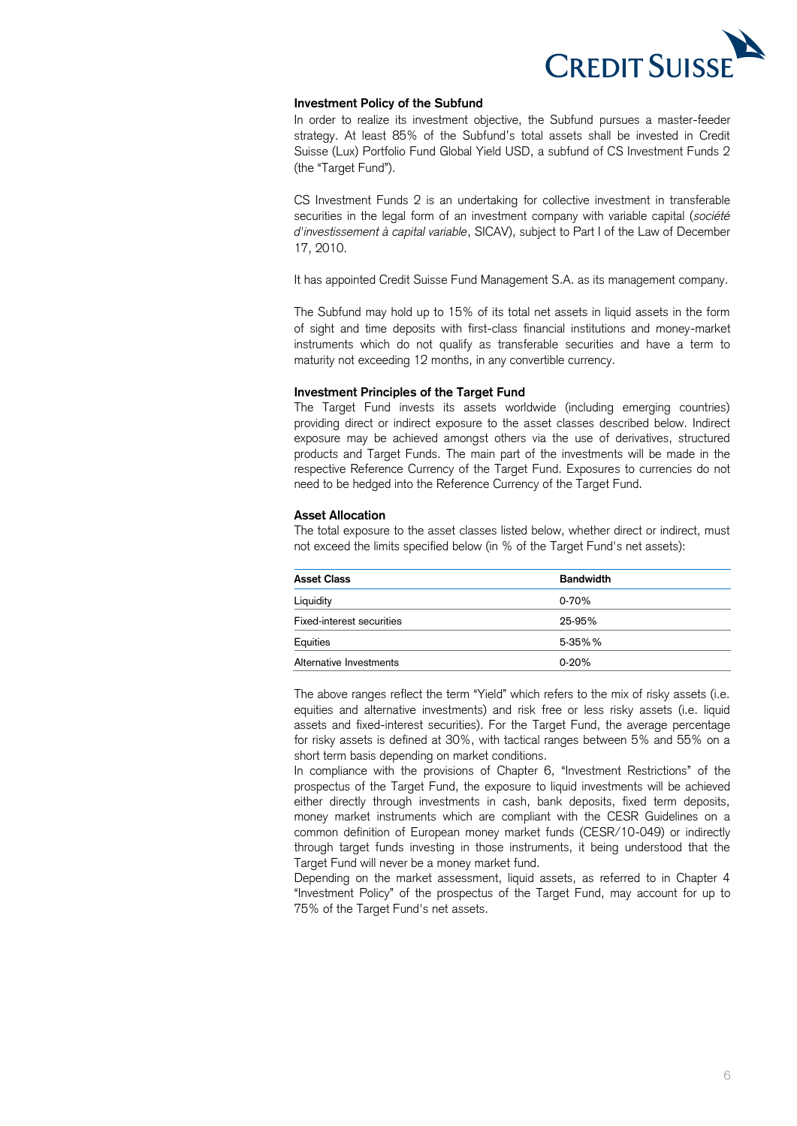

# **Investment Policy of the Subfund**

 In order to realize its investment objective, the Subfund pursues a master-feeder strategy. At least 85% of the Subfund's total assets shall be invested in Credit Suisse (Lux) Portfolio Fund Global Yield USD, a subfund of CS Investment Funds 2 (the "Target Fund").

 CS Investment Funds 2 is an undertaking for collective investment in transferable securities in the legal form of an investment company with variable capital (*société d'investissement à capital variable*, SICAV), subject to Part I of the Law of December 17, 2010.

It has appointed Credit Suisse Fund Management S.A. as its management company.

 The Subfund may hold up to 15% of its total net assets in liquid assets in the form of sight and time deposits with first-class financial institutions and money-market instruments which do not qualify as transferable securities and have a term to maturity not exceeding 12 months, in any convertible currency.

#### **Investment Principles of the Target Fund**

 The Target Fund invests its assets worldwide (including emerging countries) providing direct or indirect exposure to the asset classes described below. Indirect exposure may be achieved amongst others via the use of derivatives, structured products and Target Funds. The main part of the investments will be made in the respective Reference Currency of the Target Fund. Exposures to currencies do not need to be hedged into the Reference Currency of the Target Fund.

#### **Asset Allocation**

 The total exposure to the asset classes listed below, whether direct or indirect, must not exceed the limits specified below (in % of the Target Fund's net assets):

| <b>Asset Class</b>        | <b>Bandwidth</b> |
|---------------------------|------------------|
| Liquidity                 | $0-70%$          |
| Fixed-interest securities | 25-95%           |
| Equities                  | 5-35%%           |
| Alternative Investments   | $0 - 20%$        |

 The above ranges reflect the term "Yield" which refers to the mix of risky assets (i.e. equities and alternative investments) and risk free or less risky assets (i.e. liquid assets and fixed-interest securities). For the Target Fund, the average percentage for risky assets is defined at 30%, with tactical ranges between 5% and 55% on a short term basis depending on market conditions.

 In compliance with the provisions of Chapter 6, "Investment Restrictions" of the prospectus of the Target Fund, the exposure to liquid investments will be achieved either directly through investments in cash, bank deposits, fixed term deposits, money market instruments which are compliant with the CESR Guidelines on a common definition of European money market funds (CESR/10-049) or indirectly through target funds investing in those instruments, it being understood that the Target Fund will never be a money market fund.

 Depending on the market assessment, liquid assets, as referred to in Chapter 4 "Investment Policy" of the prospectus of the Target Fund, may account for up to 75% of the Target Fund's net assets.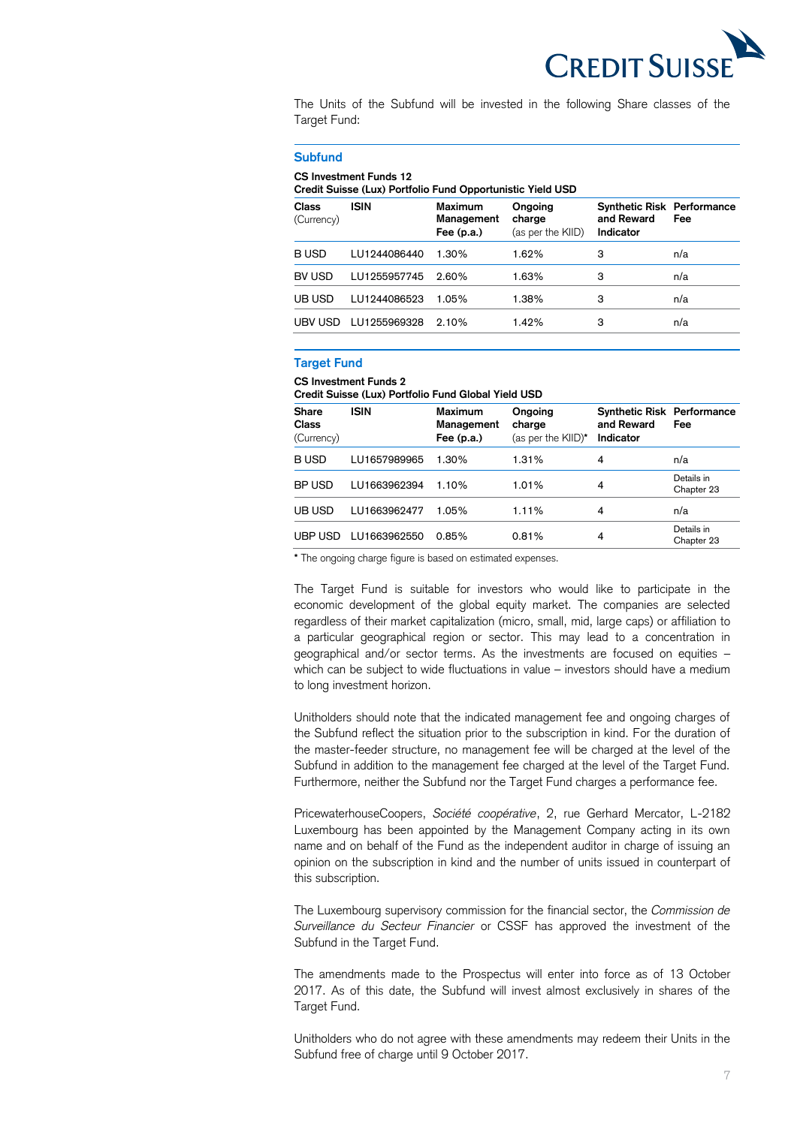

 The Units of the Subfund will be invested in the following Share classes of the Target Fund:

#### **Subfund**

#### **CS Investment Funds 12**

 **Credit Suisse (Lux) Portfolio Fund Opportunistic Yield USD** 

| <b>Class</b><br>(Currency) | <b>ISIN</b>  | Maximum<br>Management<br>Fee $(p.a.)$ | Ongoing<br>charge<br>(as per the KIID) | <b>Synthetic Risk Performance</b><br>and Reward<br>Indicator | Fee |
|----------------------------|--------------|---------------------------------------|----------------------------------------|--------------------------------------------------------------|-----|
| <b>BUSD</b>                | LU1244086440 | 1.30%                                 | 1.62%                                  | З                                                            | n/a |
| BV USD                     | LU1255957745 | 2.60%                                 | 1.63%                                  | 3                                                            | n/a |
| UB USD                     | LU1244086523 | 1.05%                                 | 1.38%                                  | 3                                                            | n/a |
| UBV USD                    | LU1255969328 | 2.10%                                 | 1.42%                                  | З                                                            | n/a |

# **Target Fund**

#### **CS Investment Funds 2**

 **Credit Suisse (Lux) Portfolio Fund Global Yield USD** 

| <b>Share</b><br><b>Class</b><br>(Currency) | <b>ISIN</b>  | Maximum<br>Management<br>Fee $(p.a.)$ | Ongoing<br>charge<br>(as per the KIID)* | <b>Synthetic Risk Performance</b><br>and Reward<br>Indicator | Fee                      |
|--------------------------------------------|--------------|---------------------------------------|-----------------------------------------|--------------------------------------------------------------|--------------------------|
| <b>BUSD</b>                                | LU1657989965 | 1.30%                                 | 1.31%                                   | 4                                                            | n/a                      |
| BP USD                                     | LU1663962394 | 1.10%                                 | 1.01%                                   | 4                                                            | Details in<br>Chapter 23 |
| UB USD                                     | LU1663962477 | 1.05%                                 | 1.11%                                   | 4                                                            | n/a                      |
| UBP USD                                    | LU1663962550 | 0.85%                                 | 0.81%                                   | 4                                                            | Details in<br>Chapter 23 |

**\*** The ongoing charge figure is based on estimated expenses.

 The Target Fund is suitable for investors who would like to participate in the economic development of the global equity market. The companies are selected regardless of their market capitalization (micro, small, mid, large caps) or affiliation to a particular geographical region or sector. This may lead to a concentration in geographical and/or sector terms. As the investments are focused on equities – which can be subject to wide fluctuations in value – investors should have a medium to long investment horizon.

 Unitholders should note that the indicated management fee and ongoing charges of the Subfund reflect the situation prior to the subscription in kind. For the duration of the master-feeder structure, no management fee will be charged at the level of the Subfund in addition to the management fee charged at the level of the Target Fund. Furthermore, neither the Subfund nor the Target Fund charges a performance fee.

 PricewaterhouseCoopers, *Société coopérative*, 2, rue Gerhard Mercator, L-2182 Luxembourg has been appointed by the Management Company acting in its own name and on behalf of the Fund as the independent auditor in charge of issuing an opinion on the subscription in kind and the number of units issued in counterpart of this subscription.

 The Luxembourg supervisory commission for the financial sector, the *Commission de Surveillance du Secteur Financier* or CSSF has approved the investment of the Subfund in the Target Fund.

 The amendments made to the Prospectus will enter into force as of 13 October 2017. As of this date, the Subfund will invest almost exclusively in shares of the Target Fund. Target Fund.<br>Unitholders who do not agree with these amendments may redeem their Units in the

Subfund free of charge until 9 October 2017.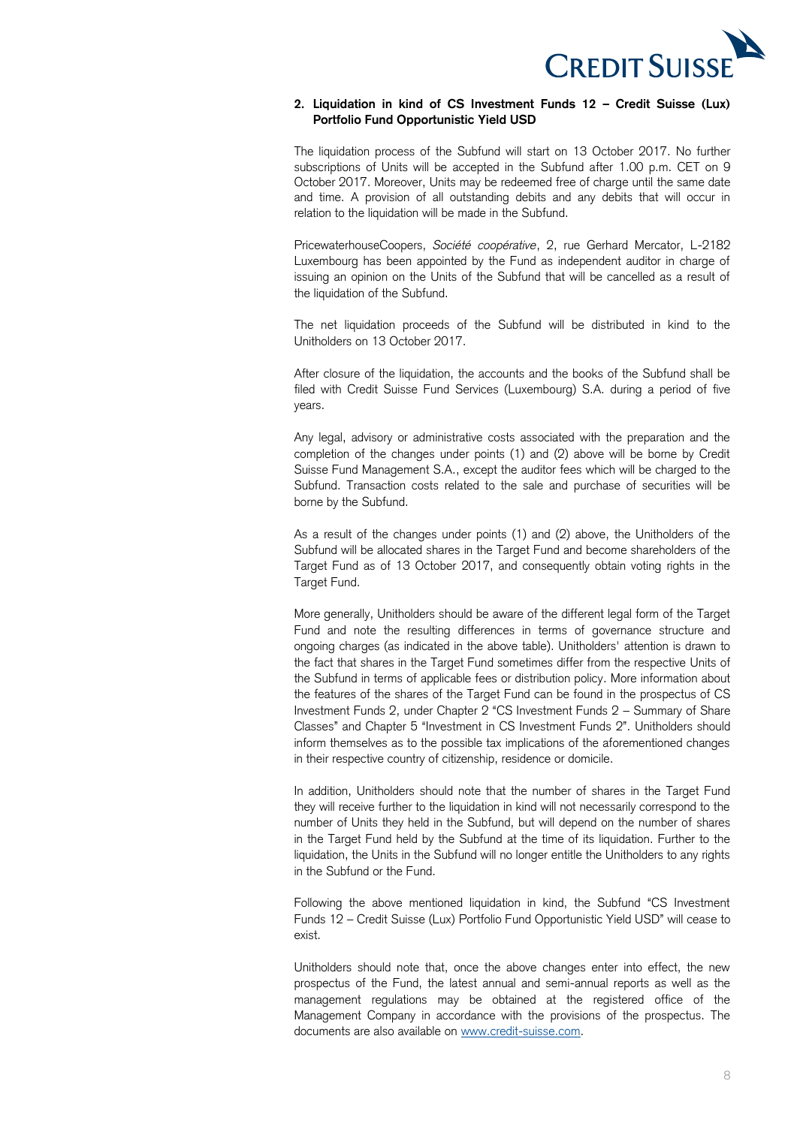

## **2. Liquidation in kind of CS Investment Funds 12 – Credit Suisse (Lux) Portfolio Fund Opportunistic Yield USD**

 The liquidation process of the Subfund will start on 13 October 2017. No further subscriptions of Units will be accepted in the Subfund after 1.00 p.m. CET on 9 October 2017. Moreover, Units may be redeemed free of charge until the same date and time. A provision of all outstanding debits and any debits that will occur in relation to the liquidation will be made in the Subfund.

 PricewaterhouseCoopers, *Société coopérative*, 2, rue Gerhard Mercator, L-2182 Luxembourg has been appointed by the Fund as independent auditor in charge of issuing an opinion on the Units of the Subfund that will be cancelled as a result of the liquidation of the Subfund.

 The net liquidation proceeds of the Subfund will be distributed in kind to the Unitholders on 13 October 2017.

 After closure of the liquidation, the accounts and the books of the Subfund shall be filed with Credit Suisse Fund Services (Luxembourg) S.A. during a period of five years.

 Any legal, advisory or administrative costs associated with the preparation and the completion of the changes under points (1) and (2) above will be borne by Credit Suisse Fund Management S.A., except the auditor fees which will be charged to the Subfund. Transaction costs related to the sale and purchase of securities will be borne by the Subfund.

 As a result of the changes under points (1) and (2) above, the Unitholders of the Subfund will be allocated shares in the Target Fund and become shareholders of the Target Fund as of 13 October 2017, and consequently obtain voting rights in the Target Fund. Target Fund.<br>More generally, Unitholders should be aware of the different legal form of the Target

 Fund and note the resulting differences in terms of governance structure and ongoing charges (as indicated in the above table). Unitholders' attention is drawn to the fact that shares in the Target Fund sometimes differ from the respective Units of the Subfund in terms of applicable fees or distribution policy. More information about the features of the shares of the Target Fund can be found in the prospectus of CS Investment Funds 2, under Chapter 2 "CS Investment Funds 2 – Summary of Share Classes" and Chapter 5 "Investment in CS Investment Funds 2". Unitholders should inform themselves as to the possible tax implications of the aforementioned changes in their respective country of citizenship, residence or domicile.

 In addition, Unitholders should note that the number of shares in the Target Fund they will receive further to the liquidation in kind will not necessarily correspond to the number of Units they held in the Subfund, but will depend on the number of shares in the Target Fund held by the Subfund at the time of its liquidation. Further to the liquidation, the Units in the Subfund will no longer entitle the Unitholders to any rights in the Subfund or the Fund.

 Following the above mentioned liquidation in kind, the Subfund "CS Investment Funds 12 – Credit Suisse (Lux) Portfolio Fund Opportunistic Yield USD" will cease to exist.

 Unitholders should note that, once the above changes enter into effect, the new prospectus of the Fund, the latest annual and semi-annual reports as well as the management regulations may be obtained at the registered office of the Management Company in accordance with the provisions of the prospectus. The documents are also available on [www.credit-suisse.com.](http://www.credit-suisse.com/)